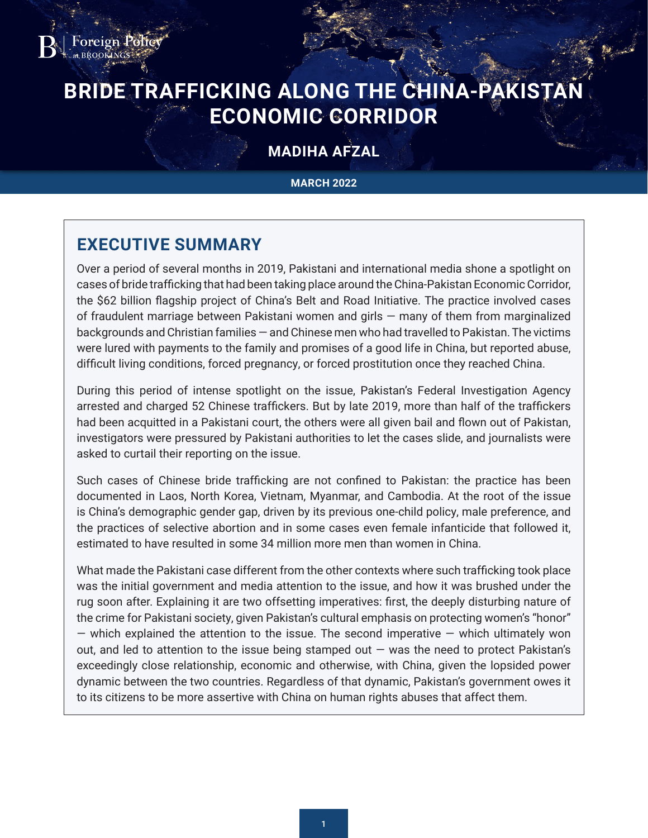

# **BRIDE TRAFFICKING ALONG THE CHINA-PAKISTAN ECONOMIC CORRIDOR**

# **MADIHA AFZAL**

#### **MARCH 2022**

# **EXECUTIVE SUMMARY**

Over a period of several months in 2019, Pakistani and international media shone a spotlight on cases of bride trafficking that had been taking place around the China-Pakistan Economic Corridor, the \$62 billion flagship project of China's Belt and Road Initiative. The practice involved cases of fraudulent marriage between Pakistani women and girls — many of them from marginalized backgrounds and Christian families — and Chinese men who had travelled to Pakistan. The victims were lured with payments to the family and promises of a good life in China, but reported abuse, difficult living conditions, forced pregnancy, or forced prostitution once they reached China.

During this period of intense spotlight on the issue, Pakistan's Federal Investigation Agency arrested and charged 52 Chinese traffickers. But by late 2019, more than half of the traffickers had been acquitted in a Pakistani court, the others were all given bail and flown out of Pakistan, investigators were pressured by Pakistani authorities to let the cases slide, and journalists were asked to curtail their reporting on the issue.

Such cases of Chinese bride trafficking are not confined to Pakistan: the practice has been documented in Laos, North Korea, Vietnam, Myanmar, and Cambodia. At the root of the issue is China's demographic gender gap, driven by its previous one-child policy, male preference, and the practices of selective abortion and in some cases even female infanticide that followed it, estimated to have resulted in some 34 million more men than women in China.

What made the Pakistani case different from the other contexts where such trafficking took place was the initial government and media attention to the issue, and how it was brushed under the rug soon after. Explaining it are two offsetting imperatives: first, the deeply disturbing nature of the crime for Pakistani society, given Pakistan's cultural emphasis on protecting women's "honor"  $-$  which explained the attention to the issue. The second imperative  $-$  which ultimately won out, and led to attention to the issue being stamped out  $-$  was the need to protect Pakistan's exceedingly close relationship, economic and otherwise, with China, given the lopsided power dynamic between the two countries. Regardless of that dynamic, Pakistan's government owes it to its citizens to be more assertive with China on human rights abuses that affect them.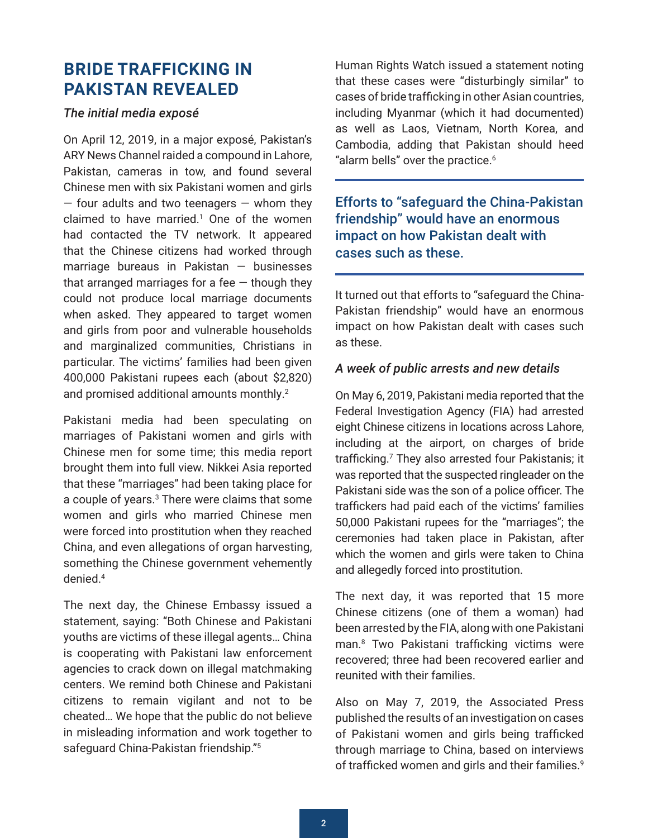# <span id="page-1-0"></span>**BRIDE TRAFFICKING IN PAKISTAN REVEALED**

### *The initial media exposé*

On April 12, 2019, in a major exposé, Pakistan's ARY News Channel raided a compound in Lahore, Pakistan, cameras in tow, and found several Chinese men with six Pakistani women and girls  $-$  four adults and two teenagers  $-$  whom they claimed to have married.<sup>[1](#page-7-0)</sup> One of the women had contacted the TV network. It appeared that the Chinese citizens had worked through marriage bureaus in Pakistan — businesses that arranged marriages for a fee  $-$  though they could not produce local marriage documents when asked. They appeared to target women and girls from poor and vulnerable households and marginalized communities, Christians in particular. The victims' families had been given 400,000 Pakistani rupees each (about \$2,820) and promised additional amounts monthly.<sup>[2](#page-7-0)</sup>

Pakistani media had been speculating on marriages of Pakistani women and girls with Chinese men for some time; this media report brought them into full view. Nikkei Asia reported that these "marriages" had been taking place for a couple of years. $3$  There were claims that some women and girls who married Chinese men were forced into prostitution when they reached China, and even allegations of organ harvesting, something the Chinese government vehemently denied.[4](#page-7-0)

The next day, the Chinese Embassy issued a statement, saying: "Both Chinese and Pakistani youths are victims of these illegal agents… China is cooperating with Pakistani law enforcement agencies to crack down on illegal matchmaking centers. We remind both Chinese and Pakistani citizens to remain vigilant and not to be cheated… We hope that the public do not believe in misleading information and work together to safeguard China-Pakistan friendship."[5](#page-7-0)

Human Rights Watch issued a statement noting that these cases were "disturbingly similar" to cases of bride trafficking in other Asian countries, including Myanmar (which it had documented) as well as Laos, Vietnam, North Korea, and Cambodia, adding that Pakistan should heed "alarm bells" over the practice.<sup>[6](#page-7-0)</sup>

Efforts to "safeguard the China-Pakistan friendship" would have an enormous impact on how Pakistan dealt with cases such as these.

It turned out that efforts to "safeguard the China-Pakistan friendship" would have an enormous impact on how Pakistan dealt with cases such as these.

#### *A week of public arrests and new details*

On May 6, 2019, Pakistani media reported that the Federal Investigation Agency (FIA) had arrested eight Chinese citizens in locations across Lahore, including at the airport, on charges of bride trafficking.[7](#page-7-0) They also arrested four Pakistanis; it was reported that the suspected ringleader on the Pakistani side was the son of a police officer. The traffickers had paid each of the victims' families 50,000 Pakistani rupees for the "marriages"; the ceremonies had taken place in Pakistan, after which the women and girls were taken to China and allegedly forced into prostitution.

The next day, it was reported that 15 more Chinese citizens (one of them a woman) had been arrested by the FIA, along with one Pakistani man.[8](#page-7-0) Two Pakistani trafficking victims were recovered; three had been recovered earlier and reunited with their families.

Also on May 7, 2019, the Associated Press published the results of an investigation on cases of Pakistani women and girls being trafficked through marriage to China, based on interviews of trafficked women and girls and their families.<sup>[9](#page-7-0)</sup>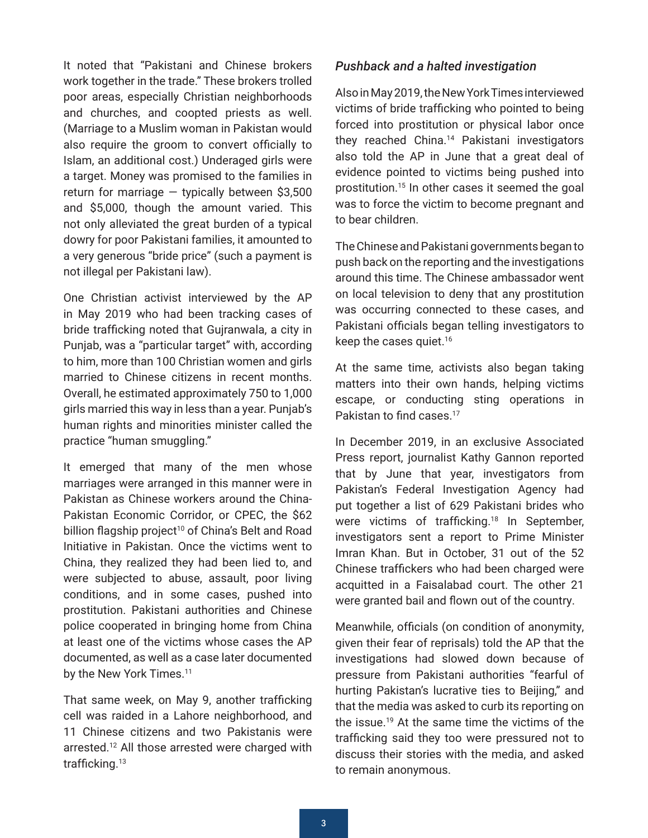<span id="page-2-0"></span>It noted that "Pakistani and Chinese brokers work together in the trade." These brokers trolled poor areas, especially Christian neighborhoods and churches, and coopted priests as well. (Marriage to a Muslim woman in Pakistan would also require the groom to convert officially to Islam, an additional cost.) Underaged girls were a target. Money was promised to the families in return for marriage  $-$  typically between \$3,500 and \$5,000, though the amount varied. This not only alleviated the great burden of a typical dowry for poor Pakistani families, it amounted to a very generous "bride price" (such a payment is not illegal per Pakistani law).

One Christian activist interviewed by the AP in May 2019 who had been tracking cases of bride trafficking noted that Gujranwala, a city in Punjab, was a "particular target" with, according to him, more than 100 Christian women and girls married to Chinese citizens in recent months. Overall, he estimated approximately 750 to 1,000 girls married this way in less than a year. Punjab's human rights and minorities minister called the practice "human smuggling."

It emerged that many of the men whose marriages were arranged in this manner were in Pakistan as Chinese workers around the China-Pakistan Economic Corridor, or CPEC, the \$62 billion flagship project<sup>[10](#page-7-0)</sup> of China's Belt and Road Initiative in Pakistan. Once the victims went to China, they realized they had been lied to, and were subjected to abuse, assault, poor living conditions, and in some cases, pushed into prostitution. Pakistani authorities and Chinese police cooperated in bringing home from China at least one of the victims whose cases the AP documented, as well as a case later documented by the New York Times.<sup>[11](#page-7-0)</sup>

That same week, on May 9, another trafficking cell was raided in a Lahore neighborhood, and 11 Chinese citizens and two Pakistanis were arrested.[12](#page-7-0) All those arrested were charged with trafficking.<sup>13</sup>

#### *Pushback and a halted investigation*

Also in May 2019, the New York Times interviewed victims of bride trafficking who pointed to being forced into prostitution or physical labor once they reached China.<sup>14</sup> Pakistani investigators also told the AP in June that a great deal of evidence pointed to victims being pushed into prostitution.[15](#page-8-0) In other cases it seemed the goal was to force the victim to become pregnant and to bear children.

The Chinese and Pakistani governments began to push back on the reporting and the investigations around this time. The Chinese ambassador went on local television to deny that any prostitution was occurring connected to these cases, and Pakistani officials began telling investigators to keep the cases quiet.[16](#page-8-0)

At the same time, activists also began taking matters into their own hands, helping victims escape, or conducting sting operations in Pakistan to find cases.<sup>[17](#page-8-0)</sup>

In December 2019, in an exclusive Associated Press report, journalist Kathy Gannon reported that by June that year, investigators from Pakistan's Federal Investigation Agency had put together a list of 629 Pakistani brides who were victims of trafficking.<sup>[18](#page-8-0)</sup> In September, investigators sent a report to Prime Minister Imran Khan. But in October, 31 out of the 52 Chinese traffickers who had been charged were acquitted in a Faisalabad court. The other 21 were granted bail and flown out of the country.

Meanwhile, officials (on condition of anonymity, given their fear of reprisals) told the AP that the investigations had slowed down because of pressure from Pakistani authorities "fearful of hurting Pakistan's lucrative ties to Beijing," and that the media was asked to curb its reporting on the issue.[19](#page-8-0) At the same time the victims of the trafficking said they too were pressured not to discuss their stories with the media, and asked to remain anonymous.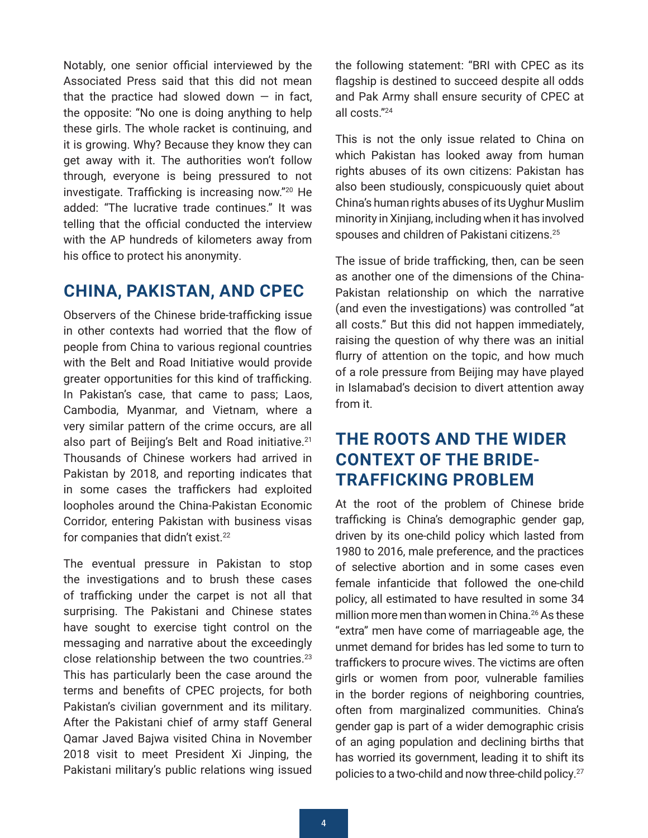<span id="page-3-0"></span>Notably, one senior official interviewed by the Associated Press said that this did not mean that the practice had slowed down  $-$  in fact. the opposite: "No one is doing anything to help these girls. The whole racket is continuing, and it is growing. Why? Because they know they can get away with it. The authorities won't follow through, everyone is being pressured to not investigate. Trafficking is increasing now."[20](#page-8-0) He added: "The lucrative trade continues." It was telling that the official conducted the interview with the AP hundreds of kilometers away from his office to protect his anonymity.

### **CHINA, PAKISTAN, AND CPEC**

Observers of the Chinese bride-trafficking issue in other contexts had worried that the flow of people from China to various regional countries with the Belt and Road Initiative would provide greater opportunities for this kind of trafficking. In Pakistan's case, that came to pass; Laos, Cambodia, Myanmar, and Vietnam, where a very similar pattern of the crime occurs, are all also part of Beijing's Belt and Road initiative.<sup>[21](#page-8-0)</sup> Thousands of Chinese workers had arrived in Pakistan by 2018, and reporting indicates that in some cases the traffickers had exploited loopholes around the China-Pakistan Economic Corridor, entering Pakistan with business visas for companies that didn't exist.<sup>[22](#page-8-0)</sup>

The eventual pressure in Pakistan to stop the investigations and to brush these cases of trafficking under the carpet is not all that surprising. The Pakistani and Chinese states have sought to exercise tight control on the messaging and narrative about the exceedingly close relationship between the two countries.[23](#page-8-0) This has particularly been the case around the terms and benefits of CPEC projects, for both Pakistan's civilian government and its military. After the Pakistani chief of army staff General Qamar Javed Bajwa visited China in November 2018 visit to meet President Xi Jinping, the Pakistani military's public relations wing issued the following statement: "BRI with CPEC as its flagship is destined to succeed despite all odds and Pak Army shall ensure security of CPEC at all costs."[24](#page-8-0)

This is not the only issue related to China on which Pakistan has looked away from human rights abuses of its own citizens: Pakistan has also been studiously, conspicuously quiet about China's human rights abuses of its Uyghur Muslim minority in Xinjiang, including when it has involved spouses and children of Pakistani citizens.[25](#page-8-0)

The issue of bride trafficking, then, can be seen as another one of the dimensions of the China-Pakistan relationship on which the narrative (and even the investigations) was controlled "at all costs." But this did not happen immediately, raising the question of why there was an initial flurry of attention on the topic, and how much of a role pressure from Beijing may have played in Islamabad's decision to divert attention away from it.

# **THE ROOTS AND THE WIDER CONTEXT OF THE BRIDE-TRAFFICKING PROBLEM**

At the root of the problem of Chinese bride trafficking is China's demographic gender gap, driven by its one-child policy which lasted from 1980 to 2016, male preference, and the practices of selective abortion and in some cases even female infanticide that followed the one-child policy, all estimated to have resulted in some 34 million more men than women in China.<sup>[26](#page-8-0)</sup> As these "extra" men have come of marriageable age, the unmet demand for brides has led some to turn to traffickers to procure wives. The victims are often girls or women from poor, vulnerable families in the border regions of neighboring countries, often from marginalized communities. China's gender gap is part of a wider demographic crisis of an aging population and declining births that has worried its government, leading it to shift its policies to a two-child and now three-child policy.[27](#page-8-0)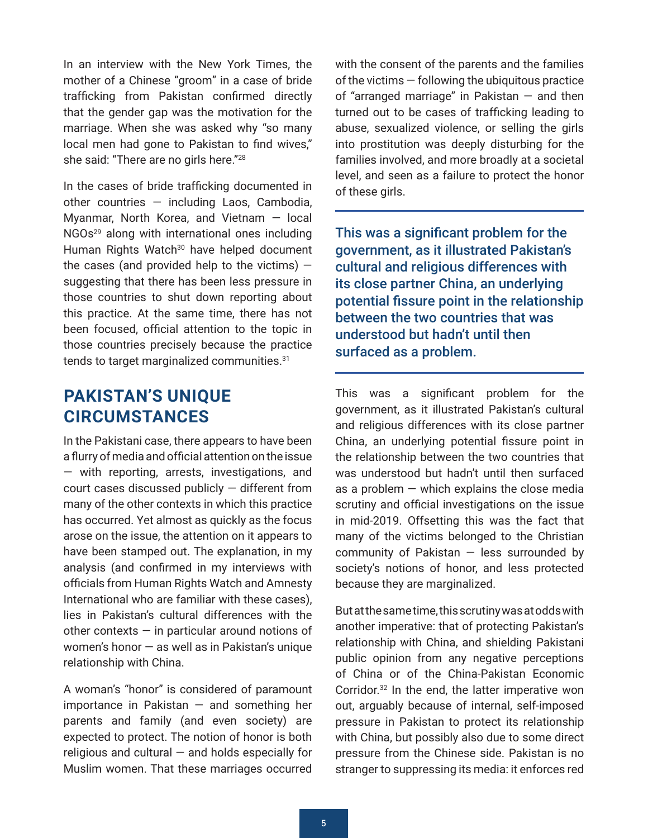<span id="page-4-0"></span>In an interview with the New York Times, the mother of a Chinese "groom" in a case of bride trafficking from Pakistan confirmed directly that the gender gap was the motivation for the marriage. When she was asked why "so many local men had gone to Pakistan to find wives," she said: "There are no girls here.["28](#page-8-0)

In the cases of bride trafficking documented in other countries — including Laos, Cambodia, Myanmar, North Korea, and Vietnam — local NGOs[29](#page-8-0) along with international ones including Human Rights Watch<sup>30</sup> have helped document the cases (and provided help to the victims)  $$ suggesting that there has been less pressure in those countries to shut down reporting about this practice. At the same time, there has not been focused, official attention to the topic in those countries precisely because the practice tends to target marginalized communities.<sup>[31](#page-9-0)</sup>

### **PAKISTAN'S UNIQUE CIRCUMSTANCES**

In the Pakistani case, there appears to have been a flurry of media and official attention on the issue — with reporting, arrests, investigations, and court cases discussed publicly — different from many of the other contexts in which this practice has occurred. Yet almost as quickly as the focus arose on the issue, the attention on it appears to have been stamped out. The explanation, in my analysis (and confirmed in my interviews with officials from Human Rights Watch and Amnesty International who are familiar with these cases), lies in Pakistan's cultural differences with the other contexts  $-$  in particular around notions of women's honor — as well as in Pakistan's unique relationship with China.

A woman's "honor" is considered of paramount importance in Pakistan  $-$  and something her parents and family (and even society) are expected to protect. The notion of honor is both religious and cultural  $-$  and holds especially for Muslim women. That these marriages occurred with the consent of the parents and the families of the victims — following the ubiquitous practice of "arranged marriage" in Pakistan  $-$  and then turned out to be cases of trafficking leading to abuse, sexualized violence, or selling the girls into prostitution was deeply disturbing for the families involved, and more broadly at a societal level, and seen as a failure to protect the honor of these girls.

This was a significant problem for the government, as it illustrated Pakistan's cultural and religious differences with its close partner China, an underlying potential fissure point in the relationship between the two countries that was understood but hadn't until then surfaced as a problem.

This was a significant problem for the government, as it illustrated Pakistan's cultural and religious differences with its close partner China, an underlying potential fissure point in the relationship between the two countries that was understood but hadn't until then surfaced as a problem  $-$  which explains the close media scrutiny and official investigations on the issue in mid-2019. Offsetting this was the fact that many of the victims belonged to the Christian community of Pakistan  $-$  less surrounded by society's notions of honor, and less protected because they are marginalized.

But at the same time, this scrutiny was at odds with another imperative: that of protecting Pakistan's relationship with China, and shielding Pakistani public opinion from any negative perceptions of China or of the China-Pakistan Economic Corridor.[32](#page-9-0) In the end, the latter imperative won out, arguably because of internal, self-imposed pressure in Pakistan to protect its relationship with China, but possibly also due to some direct pressure from the Chinese side. Pakistan is no stranger to suppressing its media: it enforces red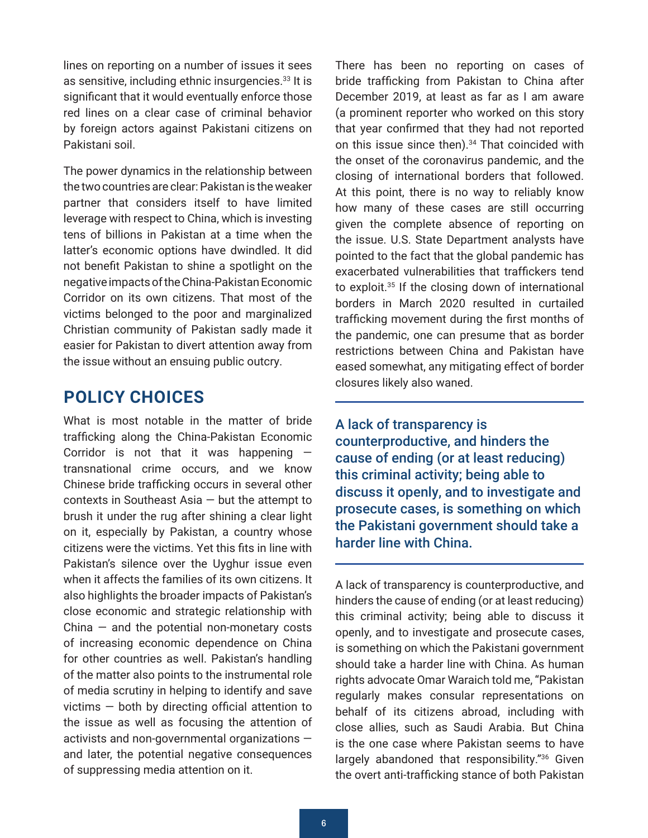<span id="page-5-0"></span>lines on reporting on a number of issues it sees as sensitive, including ethnic insurgencies.<sup>33</sup> It is significant that it would eventually enforce those red lines on a clear case of criminal behavior by foreign actors against Pakistani citizens on Pakistani soil.

The power dynamics in the relationship between the two countries are clear: Pakistan is the weaker partner that considers itself to have limited leverage with respect to China, which is investing tens of billions in Pakistan at a time when the latter's economic options have dwindled. It did not benefit Pakistan to shine a spotlight on the negative impacts of the China-Pakistan Economic Corridor on its own citizens. That most of the victims belonged to the poor and marginalized Christian community of Pakistan sadly made it easier for Pakistan to divert attention away from the issue without an ensuing public outcry.

### **POLICY CHOICES**

What is most notable in the matter of bride trafficking along the China-Pakistan Economic Corridor is not that it was happening transnational crime occurs, and we know Chinese bride trafficking occurs in several other contexts in Southeast Asia — but the attempt to brush it under the rug after shining a clear light on it, especially by Pakistan, a country whose citizens were the victims. Yet this fits in line with Pakistan's silence over the Uyghur issue even when it affects the families of its own citizens. It also highlights the broader impacts of Pakistan's close economic and strategic relationship with China  $-$  and the potential non-monetary costs of increasing economic dependence on China for other countries as well. Pakistan's handling of the matter also points to the instrumental role of media scrutiny in helping to identify and save victims — both by directing official attention to the issue as well as focusing the attention of activists and non-governmental organizations and later, the potential negative consequences of suppressing media attention on it.

bride trafficking from Pakistan to China after December 2019, at least as far as I am aware (a prominent reporter who worked on this story that year confirmed that they had not reported on this issue since then).<sup>34</sup> That coincided with the onset of the coronavirus pandemic, and the closing of international borders that followed. At this point, there is no way to reliably know how many of these cases are still occurring given the complete absence of reporting on the issue. U.S. State Department analysts have pointed to the fact that the global pandemic has exacerbated vulnerabilities that traffickers tend to exploit[.35](#page-9-0) If the closing down of international borders in March 2020 resulted in curtailed trafficking movement during the first months of the pandemic, one can presume that as border restrictions between China and Pakistan have eased somewhat, any mitigating effect of border closures likely also waned.

There has been no reporting on cases of

A lack of transparency is counterproductive, and hinders the cause of ending (or at least reducing) this criminal activity; being able to discuss it openly, and to investigate and prosecute cases, is something on which the Pakistani government should take a harder line with China.

A lack of transparency is counterproductive, and hinders the cause of ending (or at least reducing) this criminal activity; being able to discuss it openly, and to investigate and prosecute cases, is something on which the Pakistani government should take a harder line with China. As human rights advocate Omar Waraich told me, "Pakistan regularly makes consular representations on behalf of its citizens abroad, including with close allies, such as Saudi Arabia. But China is the one case where Pakistan seems to have largely abandoned that responsibility."<sup>36</sup> Given the overt anti-trafficking stance of both Pakistan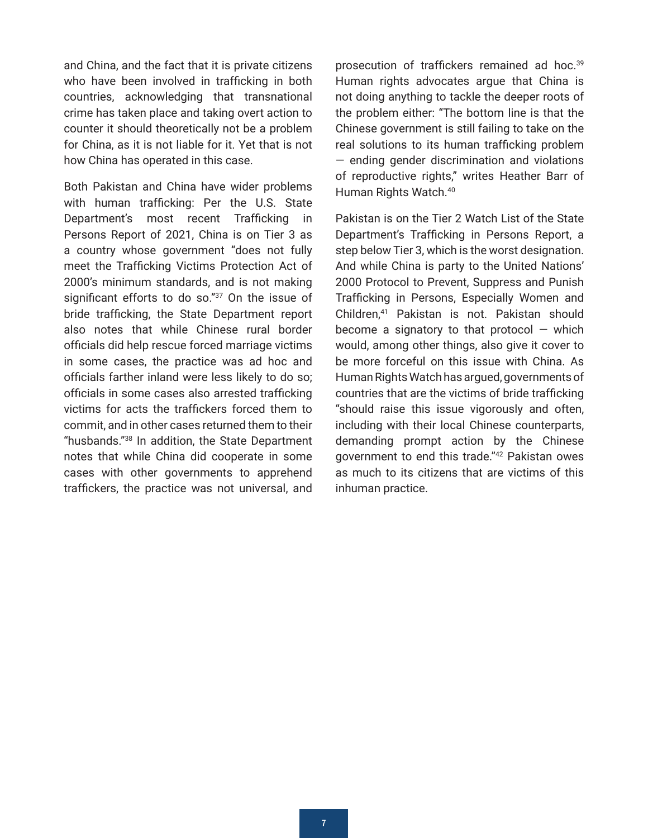<span id="page-6-0"></span>and China, and the fact that it is private citizens who have been involved in trafficking in both countries, acknowledging that transnational crime has taken place and taking overt action to counter it should theoretically not be a problem for China, as it is not liable for it. Yet that is not how China has operated in this case.

Both Pakistan and China have wider problems with human trafficking: Per the U.S. State Department's most recent Trafficking in Persons Report of 2021, China is on Tier 3 as a country whose government "does not fully meet the Trafficking Victims Protection Act of 2000's minimum standards, and is not making significant efforts to do so."<sup>37</sup> On the issue of bride trafficking, the State Department report also notes that while Chinese rural border officials did help rescue forced marriage victims in some cases, the practice was ad hoc and officials farther inland were less likely to do so; officials in some cases also arrested trafficking victims for acts the traffickers forced them to commit, and in other cases returned them to their "husbands.["38](#page-9-0) In addition, the State Department notes that while China did cooperate in some cases with other governments to apprehend traffickers, the practice was not universal, and prosecution of traffickers remained ad hoc.<sup>[39](#page-9-0)</sup> Human rights advocates argue that China is not doing anything to tackle the deeper roots of the problem either: "The bottom line is that the Chinese government is still failing to take on the real solutions to its human trafficking problem — ending gender discrimination and violations of reproductive rights," writes Heather Barr of Human Rights Watch.<sup>40</sup>

Pakistan is on the Tier 2 Watch List of the State Department's Trafficking in Persons Report, a step below Tier 3, which is the worst designation. And while China is party to the United Nations' 2000 Protocol to Prevent, Suppress and Punish Trafficking in Persons, Especially Women and Children,[41](#page-9-0) Pakistan is not. Pakistan should become a signatory to that protocol  $-$  which would, among other things, also give it cover to be more forceful on this issue with China. As Human Rights Watch has argued, governments of countries that are the victims of bride trafficking "should raise this issue vigorously and often, including with their local Chinese counterparts, demanding prompt action by the Chinese government to end this trade.["42](#page-9-0) Pakistan owes as much to its citizens that are victims of this inhuman practice.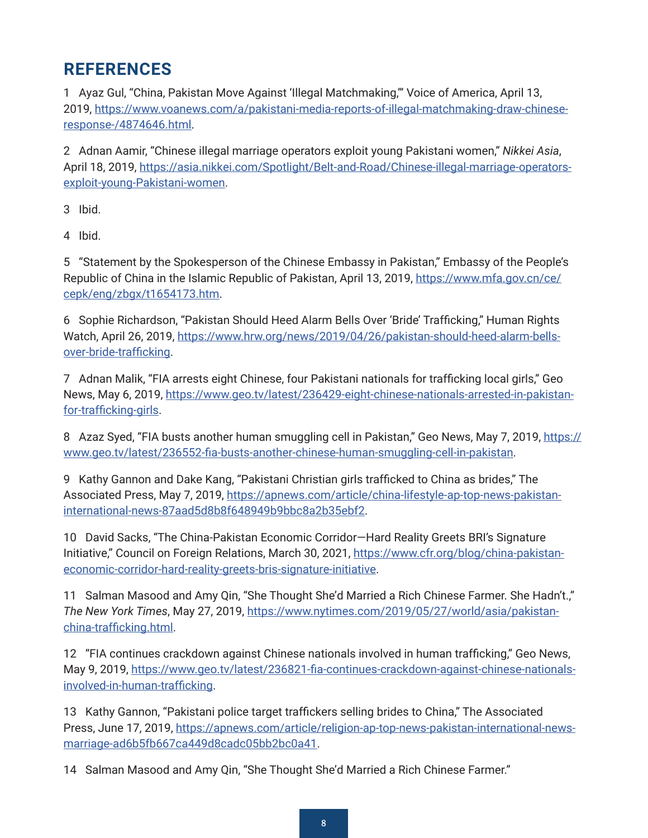# <span id="page-7-0"></span>**REFERENCES**

[1](#page-1-0) Ayaz Gul, "China, Pakistan Move Against 'Illegal Matchmaking,'" Voice of America, April 13, 2019, [https://www.voanews.com/a/pakistani-media-reports-of-illegal-matchmaking-draw-chinese](https://www.voanews.com/a/pakistani-media-reports-of-illegal-matchmaking-draw-chinese-response-/4874646.html)[response-/4874646.html.](https://www.voanews.com/a/pakistani-media-reports-of-illegal-matchmaking-draw-chinese-response-/4874646.html)

[2](#page-1-0) Adnan Aamir, "Chinese illegal marriage operators exploit young Pakistani women," *Nikkei Asia*, April 18, 2019, [https://asia.nikkei.com/Spotlight/Belt-and-Road/Chinese-illegal-marriage-operators](https://asia.nikkei.com/Spotlight/Belt-and-Road/Chinese-illegal-marriage-operators-exploit-young-Pakistani-women)[exploit-young-Pakistani-women.](https://asia.nikkei.com/Spotlight/Belt-and-Road/Chinese-illegal-marriage-operators-exploit-young-Pakistani-women)

[3](#page-1-0) Ibid.

[4](#page-1-0) Ibid.

[5](#page-1-0) "Statement by the Spokesperson of the Chinese Embassy in Pakistan," Embassy of the People's Republic of China in the Islamic Republic of Pakistan, April 13, 2019, [https://www.mfa.gov.cn/ce/](https://www.mfa.gov.cn/ce/cepk/eng/zbgx/t1654173.htm) [cepk/eng/zbgx/t1654173.htm](https://www.mfa.gov.cn/ce/cepk/eng/zbgx/t1654173.htm).

[6](#page-1-0) Sophie Richardson, "Pakistan Should Heed Alarm Bells Over 'Bride' Trafficking," Human Rights Watch, April 26, 2019, [https://www.hrw.org/news/2019/04/26/pakistan-should-heed-alarm-bells](https://www.hrw.org/news/2019/04/26/pakistan-should-heed-alarm-bells-over-bride-trafficking)[over-bride-trafficking.](https://www.hrw.org/news/2019/04/26/pakistan-should-heed-alarm-bells-over-bride-trafficking)

[7](#page-1-0) Adnan Malik, "FIA arrests eight Chinese, four Pakistani nationals for trafficking local girls," Geo News, May 6, 2019, [https://www.geo.tv/latest/236429-eight-chinese-nationals-arrested-in-pakistan](https://www.geo.tv/latest/236429-eight-chinese-nationals-arrested-in-pakistan-for-trafficking-girls)[for-trafficking-girls](https://www.geo.tv/latest/236429-eight-chinese-nationals-arrested-in-pakistan-for-trafficking-girls).

[8](#page-1-0) Azaz Syed, "FIA busts another human smuggling cell in Pakistan," Geo News, May 7, 2019, [https://](https://www.geo.tv/latest/236552-fia-busts-another-chinese-human-smuggling-cell-in-pakistan) [www.geo.tv/latest/236552-fia-busts-another-chinese-human-smuggling-cell-in-pakistan](https://www.geo.tv/latest/236552-fia-busts-another-chinese-human-smuggling-cell-in-pakistan).

[9](#page-1-0) Kathy Gannon and Dake Kang, "Pakistani Christian girls trafficked to China as brides," The Associated Press, May 7, 2019, [https://apnews.com/article/china-lifestyle-ap-top-news-pakistan](https://apnews.com/article/china-lifestyle-ap-top-news-pakistan-international-news-87aad5d8b8f648949b9bbc8a2b35ebf2)[international-news-87aad5d8b8f648949b9bbc8a2b35ebf2.](https://apnews.com/article/china-lifestyle-ap-top-news-pakistan-international-news-87aad5d8b8f648949b9bbc8a2b35ebf2)

[10](#page-2-0) David Sacks, "The China-Pakistan Economic Corridor—Hard Reality Greets BRI's Signature Initiative," Council on Foreign Relations, March 30, 2021, [https://www.cfr.org/blog/china-pakistan](https://www.cfr.org/blog/china-pakistan-economic-corridor-hard-reality-greets-bris-signature-initiative)[economic-corridor-hard-reality-greets-bris-signature-initiative](https://www.cfr.org/blog/china-pakistan-economic-corridor-hard-reality-greets-bris-signature-initiative).

[11](#page-2-0) Salman Masood and Amy Qin, "She Thought She'd Married a Rich Chinese Farmer. She Hadn't.," *The New York Times*, May 27, 2019, [https://www.nytimes.com/2019/05/27/world/asia/pakistan](https://www.nytimes.com/2019/05/27/world/asia/pakistan-china-trafficking.html)[china-trafficking.html.](https://www.nytimes.com/2019/05/27/world/asia/pakistan-china-trafficking.html)

[12](#page-2-0) "FIA continues crackdown against Chinese nationals involved in human trafficking," Geo News, May 9, 2019, [https://www.geo.tv/latest/236821-fia-continues-crackdown-against-chinese-nationals](https://www.geo.tv/latest/236821-fia-continues-crackdown-against-chinese-nationals-involved-in-human-trafficking)[involved-in-human-trafficking](https://www.geo.tv/latest/236821-fia-continues-crackdown-against-chinese-nationals-involved-in-human-trafficking).

[13](#page-2-0) Kathy Gannon, "Pakistani police target traffickers selling brides to China," The Associated Press, June 17, 2019, [https://apnews.com/article/religion-ap-top-news-pakistan-international-news](https://apnews.com/article/religion-ap-top-news-pakistan-international-news-marriage-ad6b5fb667ca449d8cadc05bb2bc0a41)[marriage-ad6b5fb667ca449d8cadc05bb2bc0a41.](https://apnews.com/article/religion-ap-top-news-pakistan-international-news-marriage-ad6b5fb667ca449d8cadc05bb2bc0a41)

[14](#page-2-0) Salman Masood and Amy Qin, "She Thought She'd Married a Rich Chinese Farmer."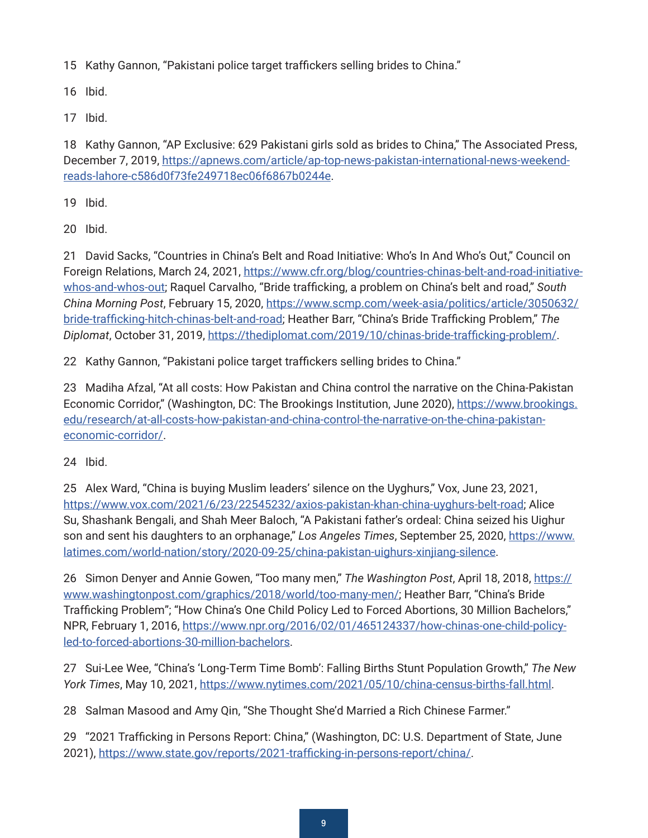<span id="page-8-0"></span>[15](#page-2-0) Kathy Gannon, "Pakistani police target traffickers selling brides to China."

[16](#page-2-0) Ibid.

[17](#page-2-0) Ibid.

[18](#page-2-0) Kathy Gannon, "AP Exclusive: 629 Pakistani girls sold as brides to China," The Associated Press, December 7, 2019, [https://apnews.com/article/ap-top-news-pakistan-international-news-weekend](https://apnews.com/article/ap-top-news-pakistan-international-news-weekend-reads-lahore-c586d0f73fe249718ec06f6867b0244e)[reads-lahore-c586d0f73fe249718ec06f6867b0244e.](https://apnews.com/article/ap-top-news-pakistan-international-news-weekend-reads-lahore-c586d0f73fe249718ec06f6867b0244e)

[19](#page-2-0) Ibid.

[20](#page-3-0) Ibid.

[21](#page-3-0) David Sacks, "Countries in China's Belt and Road Initiative: Who's In And Who's Out," Council on Foreign Relations, March 24, 2021, [https://www.cfr.org/blog/countries-chinas-belt-and-road-initiative](https://www.cfr.org/blog/countries-chinas-belt-and-road-initiative-whos-and-whos-out)[whos-and-whos-out;](https://www.cfr.org/blog/countries-chinas-belt-and-road-initiative-whos-and-whos-out) Raquel Carvalho, "Bride trafficking, a problem on China's belt and road," *South China Morning Post*, February 15, 2020, [https://www.scmp.com/week-asia/politics/article/3050632/](https://www.scmp.com/week-asia/politics/article/3050632/bride-trafficking-hitch-chinas-belt-and-road) [bride-trafficking-hitch-chinas-belt-and-road;](https://www.scmp.com/week-asia/politics/article/3050632/bride-trafficking-hitch-chinas-belt-and-road) Heather Barr, "China's Bride Trafficking Problem," *The Diplomat*, October 31, 2019, <https://thediplomat.com/2019/10/chinas-bride-trafficking-problem/>.

[22](#page-3-0) Kathy Gannon, "Pakistani police target traffickers selling brides to China."

[23](#page-3-0) Madiha Afzal, "At all costs: How Pakistan and China control the narrative on the China-Pakistan Economic Corridor," (Washington, DC: The Brookings Institution, June 2020), [https://www.brookings.](https://www.brookings.edu/research/at-all-costs-how-pakistan-and-china-control-the-narrative-on-the-china-pakistan-economic-corridor/) [edu/research/at-all-costs-how-pakistan-and-china-control-the-narrative-on-the-china-pakistan](https://www.brookings.edu/research/at-all-costs-how-pakistan-and-china-control-the-narrative-on-the-china-pakistan-economic-corridor/)[economic-corridor/](https://www.brookings.edu/research/at-all-costs-how-pakistan-and-china-control-the-narrative-on-the-china-pakistan-economic-corridor/).

[24](#page-3-0) Ibid.

[25](#page-3-0) Alex Ward, "China is buying Muslim leaders' silence on the Uyghurs," Vox, June 23, 2021, [https://www.vox.com/2021/6/23/22545232/axios-pakistan-khan-china-uyghurs-belt-road;](https://www.vox.com/2021/6/23/22545232/axios-pakistan-khan-china-uyghurs-belt-road) Alice Su, Shashank Bengali, and Shah Meer Baloch, "A Pakistani father's ordeal: China seized his Uighur son and sent his daughters to an orphanage," Los Angeles Times, September 25, 2020, [https://www.](https://www.latimes.com/world-nation/story/2020-09-25/china-pakistan-uighurs-xinjiang-silence) [latimes.com/world-nation/story/2020-09-25/china-pakistan-uighurs-xinjiang-silence](https://www.latimes.com/world-nation/story/2020-09-25/china-pakistan-uighurs-xinjiang-silence).

[26](#page-3-0) Simon Denyer and Annie Gowen, "Too many men," *The Washington Post*, April 18, 2018, [https://](https://www.washingtonpost.com/graphics/2018/world/too-many-men/) [www.washingtonpost.com/graphics/2018/world/too-many-men/](https://www.washingtonpost.com/graphics/2018/world/too-many-men/); Heather Barr, "China's Bride Trafficking Problem"; "How China's One Child Policy Led to Forced Abortions, 30 Million Bachelors," NPR, February 1, 2016, [https://www.npr.org/2016/02/01/465124337/how-chinas-one-child-policy](https://www.npr.org/2016/02/01/465124337/how-chinas-one-child-policy-led-to-forced-abortions-30-million-bachelors)[led-to-forced-abortions-30-million-bachelors](https://www.npr.org/2016/02/01/465124337/how-chinas-one-child-policy-led-to-forced-abortions-30-million-bachelors).

[27](#page-3-0) Sui-Lee Wee, "China's 'Long-Term Time Bomb': Falling Births Stunt Population Growth," *The New York Times*, May 10, 2021, <https://www.nytimes.com/2021/05/10/china-census-births-fall.html>.

[28](#page-4-0) Salman Masood and Amy Qin, "She Thought She'd Married a Rich Chinese Farmer."

[29](#page-4-0) "2021 Trafficking in Persons Report: China," (Washington, DC: U.S. Department of State, June 2021),<https://www.state.gov/reports/2021-trafficking-in-persons-report/china/>.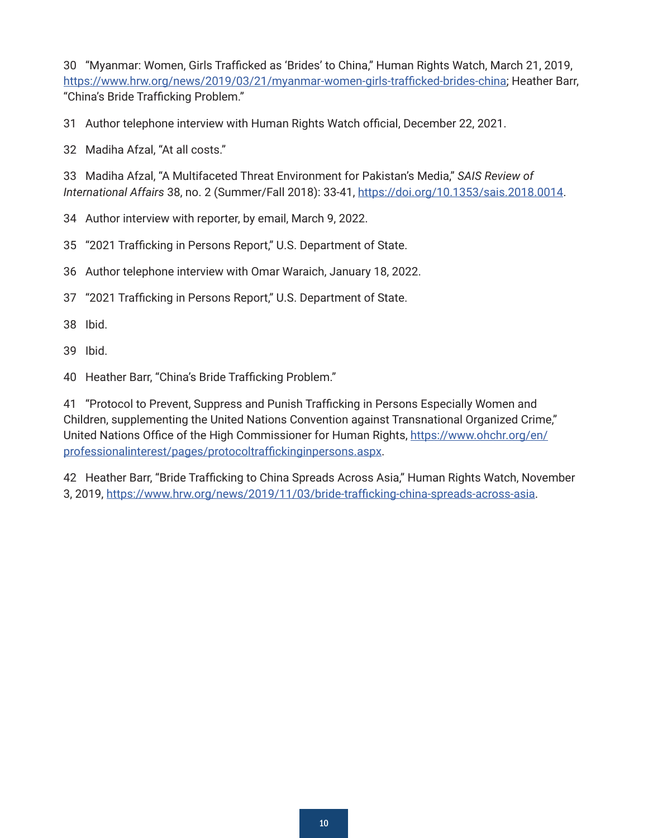<span id="page-9-0"></span> "Myanmar: Women, Girls Trafficked as 'Brides' to China," Human Rights Watch, March 21, 2019, [https://www.hrw.org/news/2019/03/21/myanmar-women-girls-trafficked-brides-china;](https://www.hrw.org/news/2019/03/21/myanmar-women-girls-trafficked-brides-china) Heather Barr, "China's Bride Trafficking Problem."

Author telephone interview with Human Rights Watch official, December 22, 2021.

Madiha Afzal, "At all costs."

 Madiha Afzal, "A Multifaceted Threat Environment for Pakistan's Media," *SAIS Review of International Affairs* 38, no. 2 (Summer/Fall 2018): 33-41,<https://doi.org/10.1353/sais.2018.0014>.

Author interview with reporter, by email, March 9, 2022.

"2021 Trafficking in Persons Report," U.S. Department of State.

Author telephone interview with Omar Waraich, January 18, 2022.

"2021 Trafficking in Persons Report," U.S. Department of State.

Ibid.

Ibid.

Heather Barr, "China's Bride Trafficking Problem."

 "Protocol to Prevent, Suppress and Punish Trafficking in Persons Especially Women and Children, supplementing the United Nations Convention against Transnational Organized Crime," United Nations Office of the High Commissioner for Human Rights, [https://www.ohchr.org/en/](https://www.ohchr.org/en/professionalinterest/pages/protocoltraffickinginpersons.aspx) [professionalinterest/pages/protocoltraffickinginpersons.aspx.](https://www.ohchr.org/en/professionalinterest/pages/protocoltraffickinginpersons.aspx)

 Heather Barr, "Bride Trafficking to China Spreads Across Asia," Human Rights Watch, November 3, 2019, [https://www.hrw.org/news/2019/11/03/bride-trafficking-china-spreads-across-asia.](https://www.hrw.org/news/2019/11/03/bride-trafficking-china-spreads-across-asia)